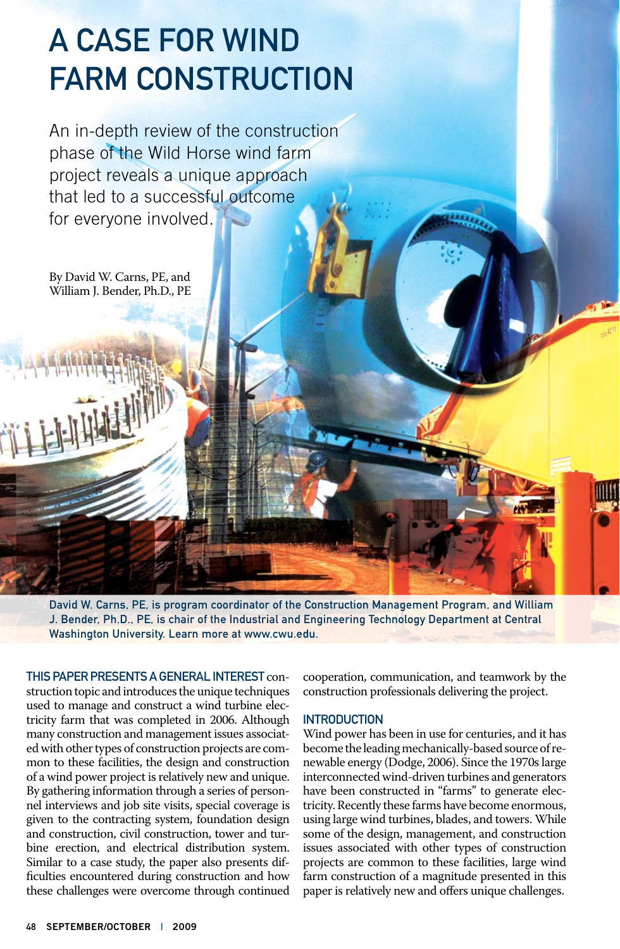# A Case for Wind Farm Construction

An in-depth review of the construction phase of the Wild Horse wind farm project reveals a unique approach that led to a successful outcome for everyone involved.

By David W. Carns, PE, and William J. Bender, Ph.D., PE

David W. Carns, PE, is program coordinator of the Construction Management Program, and William J. Bender, Ph.D., PE, is chair of the Industrial and Engineering Technology Department at Central Washington University. Learn more at www.cwu.edu.

This paper presents a general interest construction topic and introduces the unique techniques used to manage and construct a wind turbine electricity farm that was completed in 2006. Although many construction and management issues associated with other types of construction projects are common to these facilities, the design and construction of a wind power project is relatively new and unique. By gathering information through a series of personnel interviews and job site visits, special coverage is given to the contracting system, foundation design and construction, civil construction, tower and turbine erection, and electrical distribution system. Similar to a case study, the paper also presents difficulties encountered during construction and how these challenges were overcome through continued cooperation, communication, and teamwork by the construction professionals delivering the project.

### **INTRODUCTION**

Wind power has been in use for centuries, and it has become the leading mechanically-based source of renewable energy (Dodge, 2006). Since the 1970s large interconnected wind-driven turbines and generators have been constructed in "farms" to generate electricity. Recently these farms have become enormous, using large wind turbines, blades, and towers. While some of the design, management, and construction issues associated with other types of construction projects are common to these facilities, large wind farm construction of a magnitude presented in this paper is relatively new and offers unique challenges.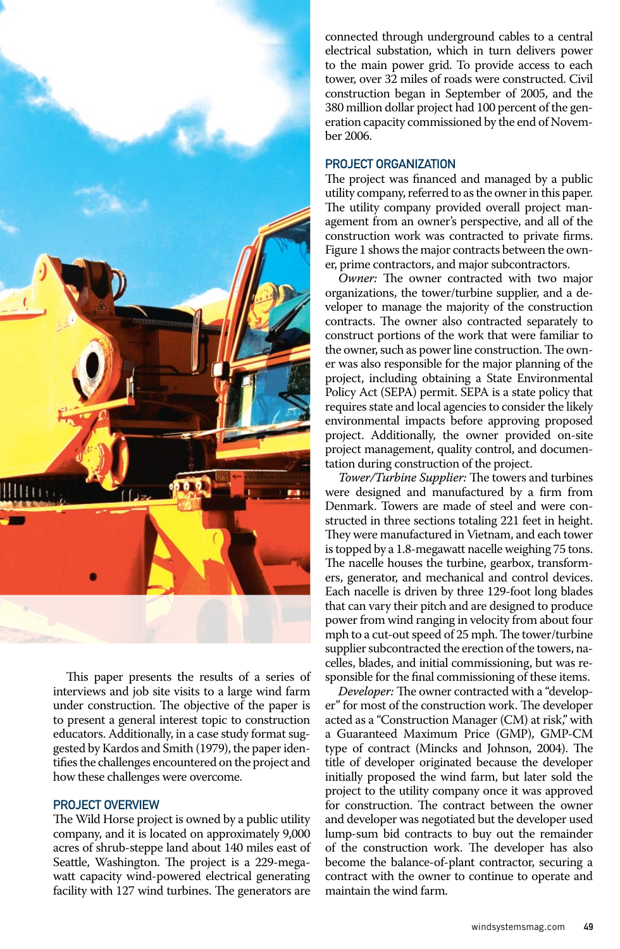

This paper presents the results of a series of interviews and job site visits to a large wind farm under construction. The objective of the paper is to present a general interest topic to construction educators. Additionally, in a case study format suggested by Kardos and Smith (1979), the paper identifies the challenges encountered on the project and how these challenges were overcome.

### PROJECT OVERVIEW

The Wild Horse project is owned by a public utility company, and it is located on approximately 9,000 acres of shrub-steppe land about 140 miles east of Seattle, Washington. The project is a 229-megawatt capacity wind-powered electrical generating facility with 127 wind turbines. The generators are

connected through underground cables to a central electrical substation, which in turn delivers power to the main power grid. To provide access to each tower, over 32 miles of roads were constructed. Civil construction began in September of 2005, and the 380 million dollar project had 100 percent of the generation capacity commissioned by the end of November 2006.

### Project Organization

The project was financed and managed by a public utility company, referred to as the owner in this paper. The utility company provided overall project management from an owner's perspective, and all of the construction work was contracted to private firms. Figure 1 shows the major contracts between the owner, prime contractors, and major subcontractors.

*Owner:* The owner contracted with two major organizations, the tower/turbine supplier, and a developer to manage the majority of the construction contracts. The owner also contracted separately to construct portions of the work that were familiar to the owner, such as power line construction. The owner was also responsible for the major planning of the project, including obtaining a State Environmental Policy Act (SEPA) permit. SEPA is a state policy that requires state and local agencies to consider the likely environmental impacts before approving proposed project. Additionally, the owner provided on-site project management, quality control, and documentation during construction of the project.

*Tower/Turbine Supplier:* The towers and turbines were designed and manufactured by a firm from Denmark. Towers are made of steel and were constructed in three sections totaling 221 feet in height. They were manufactured in Vietnam, and each tower is topped by a 1.8-megawatt nacelle weighing 75 tons. The nacelle houses the turbine, gearbox, transformers, generator, and mechanical and control devices. Each nacelle is driven by three 129-foot long blades that can vary their pitch and are designed to produce power from wind ranging in velocity from about four mph to a cut-out speed of 25 mph. The tower/turbine supplier subcontracted the erection of the towers, nacelles, blades, and initial commissioning, but was responsible for the final commissioning of these items.

*Developer:* The owner contracted with a "developer" for most of the construction work. The developer acted as a "Construction Manager (CM) at risk," with a Guaranteed Maximum Price (GMP), GMP-CM type of contract (Mincks and Johnson, 2004). The title of developer originated because the developer initially proposed the wind farm, but later sold the project to the utility company once it was approved for construction. The contract between the owner and developer was negotiated but the developer used lump-sum bid contracts to buy out the remainder of the construction work. The developer has also become the balance-of-plant contractor, securing a contract with the owner to continue to operate and maintain the wind farm.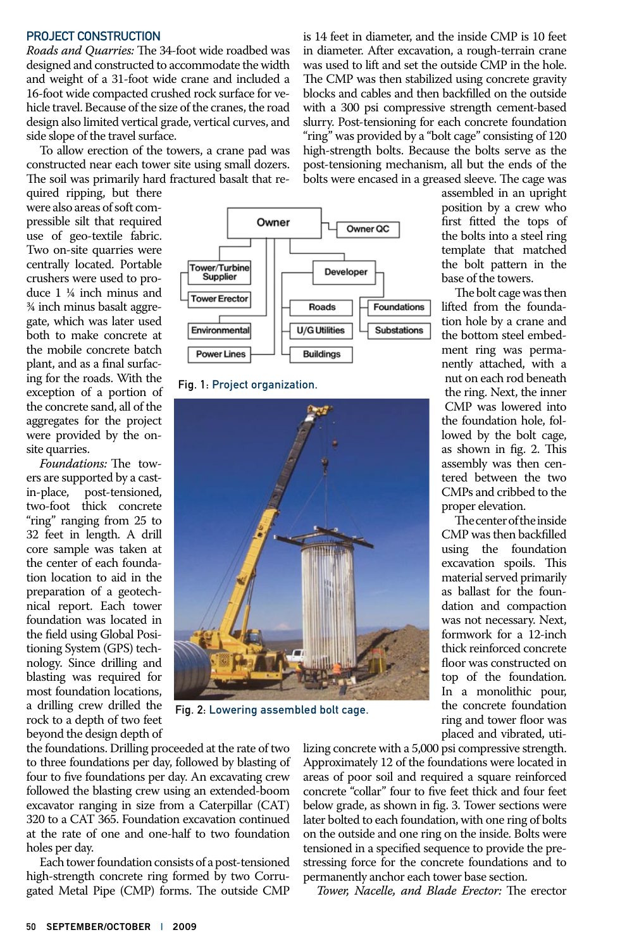### PROJECT CONSTRUCTION

*Roads and Quarries:* The 34-foot wide roadbed was designed and constructed to accommodate the width and weight of a 31-foot wide crane and included a 16-foot wide compacted crushed rock surface for vehicle travel. Because of the size of the cranes, the road design also limited vertical grade, vertical curves, and side slope of the travel surface.

To allow erection of the towers, a crane pad was constructed near each tower site using small dozers. The soil was primarily hard fractured basalt that re-

quired ripping, but there were also areas of soft compressible silt that required use of geo-textile fabric. Two on-site quarries were centrally located. Portable crushers were used to produce 1 ¼ inch minus and ¾ inch minus basalt aggregate, which was later used both to make concrete at the mobile concrete batch plant, and as a final surfacing for the roads. With the exception of a portion of the concrete sand, all of the aggregates for the project were provided by the onsite quarries.

*Foundations:* The towers are supported by a castin-place, post-tensioned, two-foot thick concrete "ring" ranging from 25 to 32 feet in length. A drill core sample was taken at the center of each foundation location to aid in the preparation of a geotechnical report. Each tower foundation was located in the field using Global Positioning System (GPS) technology. Since drilling and blasting was required for most foundation locations, a drilling crew drilled the rock to a depth of two feet beyond the design depth of



Fig. 1: Project organization.



Fig. 2: Lowering assembled bolt cage.

the foundations. Drilling proceeded at the rate of two to three foundations per day, followed by blasting of four to five foundations per day. An excavating crew followed the blasting crew using an extended-boom excavator ranging in size from a Caterpillar (CAT) 320 to a CAT 365. Foundation excavation continued at the rate of one and one-half to two foundation holes per day.

Each tower foundation consists of a post-tensioned high-strength concrete ring formed by two Corrugated Metal Pipe (CMP) forms. The outside CMP is 14 feet in diameter, and the inside CMP is 10 feet in diameter. After excavation, a rough-terrain crane was used to lift and set the outside CMP in the hole. The CMP was then stabilized using concrete gravity blocks and cables and then backfilled on the outside with a 300 psi compressive strength cement-based slurry. Post-tensioning for each concrete foundation "ring" was provided by a "bolt cage" consisting of 120 high-strength bolts. Because the bolts serve as the post-tensioning mechanism, all but the ends of the bolts were encased in a greased sleeve. The cage was

> assembled in an upright position by a crew who first fitted the tops of the bolts into a steel ring template that matched the bolt pattern in the base of the towers.

> The bolt cage was then lifted from the foundation hole by a crane and the bottom steel embedment ring was permanently attached, with a nut on each rod beneath the ring. Next, the inner CMP was lowered into the foundation hole, followed by the bolt cage, as shown in fig. 2. This assembly was then centered between the two CMPs and cribbed to the proper elevation.

> The center of the inside CMP was then backfilled using the foundation excavation spoils. This material served primarily as ballast for the foundation and compaction was not necessary. Next, formwork for a 12-inch thick reinforced concrete floor was constructed on top of the foundation. In a monolithic pour, the concrete foundation ring and tower floor was placed and vibrated, uti-

lizing concrete with a 5,000 psi compressive strength. Approximately 12 of the foundations were located in areas of poor soil and required a square reinforced concrete "collar" four to five feet thick and four feet below grade, as shown in fig. 3. Tower sections were later bolted to each foundation, with one ring of bolts on the outside and one ring on the inside. Bolts were tensioned in a specified sequence to provide the prestressing force for the concrete foundations and to permanently anchor each tower base section.

*Tower, Nacelle, and Blade Erector:* The erector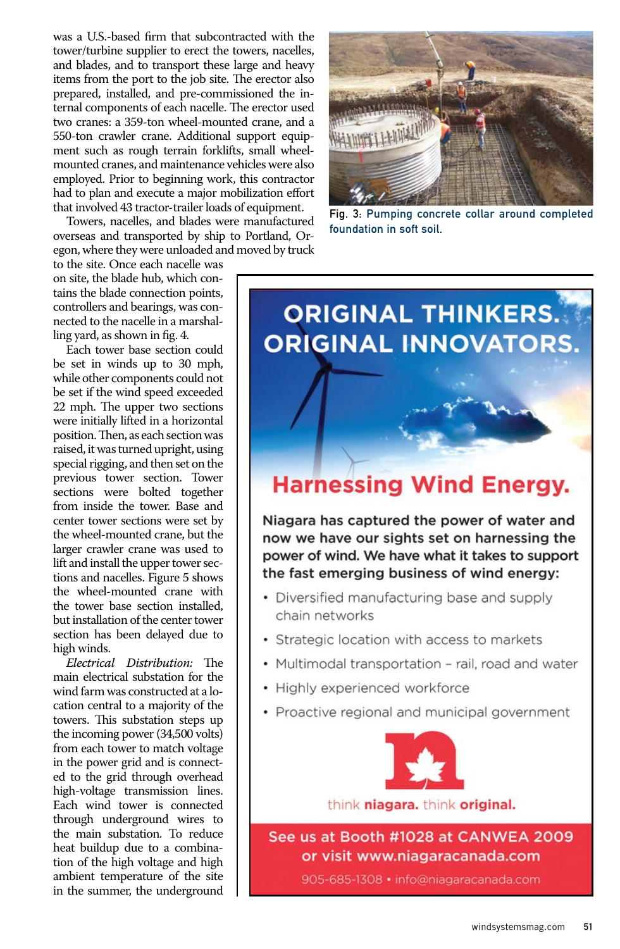was a U.S.-based firm that subcontracted with the tower/turbine supplier to erect the towers, nacelles, and blades, and to transport these large and heavy items from the port to the job site. The erector also prepared, installed, and pre-commissioned the internal components of each nacelle. The erector used two cranes: a 359-ton wheel-mounted crane, and a 550-ton crawler crane. Additional support equipment such as rough terrain forklifts, small wheelmounted cranes, and maintenance vehicles were also employed. Prior to beginning work, this contractor had to plan and execute a major mobilization effort that involved 43 tractor-trailer loads of equipment.

Towers, nacelles, and blades were manufactured overseas and transported by ship to Portland, Oregon, where they were unloaded and moved by truck

to the site. Once each nacelle was on site, the blade hub, which contains the blade connection points, controllers and bearings, was connected to the nacelle in a marshalling yard, as shown in fig. 4.

Each tower base section could be set in winds up to 30 mph, while other components could not be set if the wind speed exceeded 22 mph. The upper two sections were initially lifted in a horizontal position. Then, as each section was raised, it was turned upright, using special rigging, and then set on the previous tower section. Tower sections were bolted together from inside the tower. Base and center tower sections were set by the wheel-mounted crane, but the larger crawler crane was used to lift and install the upper tower sections and nacelles. Figure 5 shows the wheel-mounted crane with the tower base section installed, but installation of the center tower section has been delayed due to high winds.

*Electrical Distribution:* The main electrical substation for the wind farm was constructed at a location central to a majority of the towers. This substation steps up the incoming power (34,500 volts) from each tower to match voltage in the power grid and is connected to the grid through overhead high-voltage transmission lines. Each wind tower is connected through underground wires to the main substation. To reduce heat buildup due to a combination of the high voltage and high ambient temperature of the site in the summer, the underground



Fig. 3: Pumping concrete collar around completed foundation in soft soil.

## **ORIGINAL THINKERS. ORIGINAL INNOVATORS.**

### **Harnessing Wind Energy.**

Niagara has captured the power of water and now we have our sights set on harnessing the power of wind. We have what it takes to support the fast emerging business of wind energy:

- Diversified manufacturing base and supply chain networks
- Strategic location with access to markets
- Multimodal transportation rail, road and water
- Highly experienced workforce
- Proactive regional and municipal government



think niagara. think original.

See us at Booth #1028 at CANWEA 2009 or visit www.niagaracanada.com

905-685-1308 · info@niagaracanada.com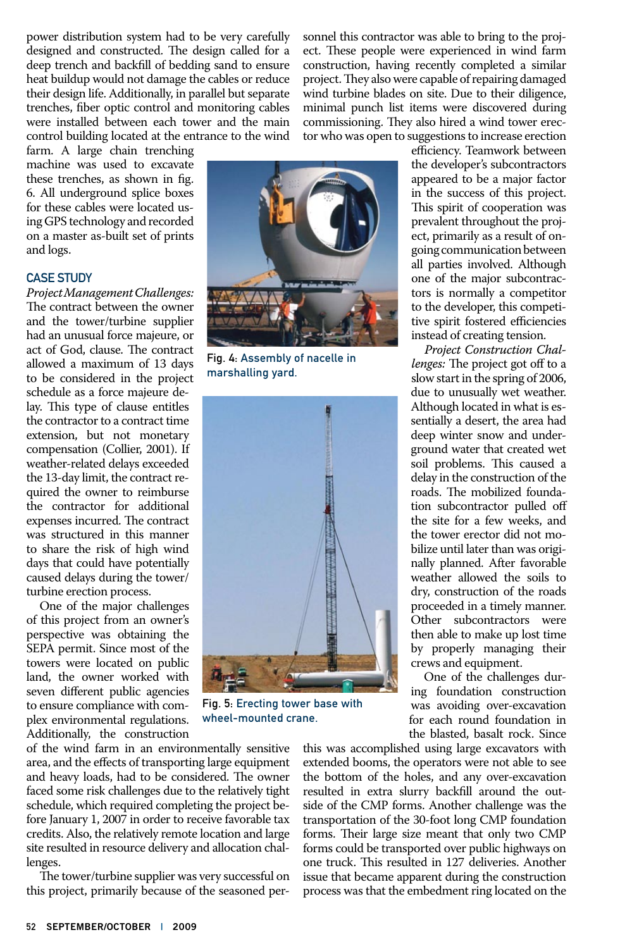power distribution system had to be very carefully designed and constructed. The design called for a deep trench and backfill of bedding sand to ensure heat buildup would not damage the cables or reduce their design life. Additionally, in parallel but separate trenches, fiber optic control and monitoring cables were installed between each tower and the main control building located at the entrance to the wind

farm. A large chain trenching machine was used to excavate these trenches, as shown in fig. 6. All underground splice boxes for these cables were located using GPS technology and recorded on a master as-built set of prints and logs.

### Case Study

*Project Management Challenges:*  The contract between the owner and the tower/turbine supplier had an unusual force majeure, or act of God, clause. The contract allowed a maximum of 13 days to be considered in the project schedule as a force majeure delay. This type of clause entitles the contractor to a contract time extension, but not monetary compensation (Collier, 2001). If weather-related delays exceeded the 13-day limit, the contract required the owner to reimburse the contractor for additional expenses incurred. The contract was structured in this manner to share the risk of high wind days that could have potentially caused delays during the tower/ turbine erection process.

One of the major challenges of this project from an owner's perspective was obtaining the SEPA permit. Since most of the towers were located on public land, the owner worked with seven different public agencies to ensure compliance with complex environmental regulations. Additionally, the construction

of the wind farm in an environmentally sensitive area, and the effects of transporting large equipment and heavy loads, had to be considered. The owner faced some risk challenges due to the relatively tight schedule, which required completing the project before January 1, 2007 in order to receive favorable tax credits. Also, the relatively remote location and large site resulted in resource delivery and allocation challenges.

The tower/turbine supplier was very successful on this project, primarily because of the seasoned personnel this contractor was able to bring to the project. These people were experienced in wind farm construction, having recently completed a similar project. They also were capable of repairing damaged wind turbine blades on site. Due to their diligence, minimal punch list items were discovered during commissioning. They also hired a wind tower erector who was open to suggestions to increase erection



Fig. 4: Assembly of nacelle in marshalling yard.



Fig. 5: Erecting tower base with wheel-mounted crane.

efficiency. Teamwork between the developer's subcontractors appeared to be a major factor in the success of this project. This spirit of cooperation was prevalent throughout the project, primarily as a result of ongoing communication between all parties involved. Although one of the major subcontractors is normally a competitor to the developer, this competitive spirit fostered efficiencies instead of creating tension.

*Project Construction Challenges:* The project got off to a slow start in the spring of 2006, due to unusually wet weather. Although located in what is essentially a desert, the area had deep winter snow and underground water that created wet soil problems. This caused a delay in the construction of the roads. The mobilized foundation subcontractor pulled off the site for a few weeks, and the tower erector did not mobilize until later than was originally planned. After favorable weather allowed the soils to dry, construction of the roads proceeded in a timely manner. Other subcontractors were then able to make up lost time by properly managing their crews and equipment.

One of the challenges during foundation construction was avoiding over-excavation for each round foundation in the blasted, basalt rock. Since

this was accomplished using large excavators with extended booms, the operators were not able to see the bottom of the holes, and any over-excavation resulted in extra slurry backfill around the outside of the CMP forms. Another challenge was the transportation of the 30-foot long CMP foundation forms. Their large size meant that only two CMP forms could be transported over public highways on one truck. This resulted in 127 deliveries. Another issue that became apparent during the construction process was that the embedment ring located on the